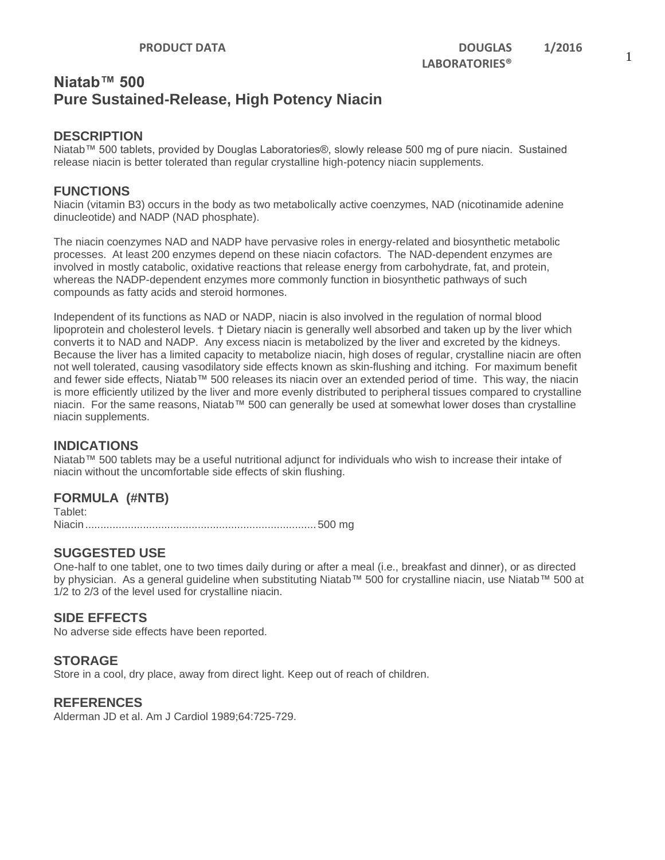## **Niatab™ 500 Pure Sustained-Release, High Potency Niacin**

#### **DESCRIPTION**

Niatab™ 500 tablets, provided by Douglas Laboratories®, slowly release 500 mg of pure niacin. Sustained release niacin is better tolerated than regular crystalline high-potency niacin supplements.

#### **FUNCTIONS**

Niacin (vitamin B3) occurs in the body as two metabolically active coenzymes, NAD (nicotinamide adenine dinucleotide) and NADP (NAD phosphate).

The niacin coenzymes NAD and NADP have pervasive roles in energy-related and biosynthetic metabolic processes. At least 200 enzymes depend on these niacin cofactors. The NAD-dependent enzymes are involved in mostly catabolic, oxidative reactions that release energy from carbohydrate, fat, and protein, whereas the NADP-dependent enzymes more commonly function in biosynthetic pathways of such compounds as fatty acids and steroid hormones.

Independent of its functions as NAD or NADP, niacin is also involved in the regulation of normal blood lipoprotein and cholesterol levels. † Dietary niacin is generally well absorbed and taken up by the liver which converts it to NAD and NADP. Any excess niacin is metabolized by the liver and excreted by the kidneys. Because the liver has a limited capacity to metabolize niacin, high doses of regular, crystalline niacin are often not well tolerated, causing vasodilatory side effects known as skin-flushing and itching. For maximum benefit and fewer side effects, Niatab™ 500 releases its niacin over an extended period of time. This way, the niacin is more efficiently utilized by the liver and more evenly distributed to peripheral tissues compared to crystalline niacin. For the same reasons, Niatab™ 500 can generally be used at somewhat lower doses than crystalline niacin supplements.

#### **INDICATIONS**

Niatab™ 500 tablets may be a useful nutritional adjunct for individuals who wish to increase their intake of niacin without the uncomfortable side effects of skin flushing.

### **FORMULA (#NTB)**

Tablet: Niacin............................................................................500 mg

### **SUGGESTED USE**

One-half to one tablet, one to two times daily during or after a meal (i.e., breakfast and dinner), or as directed by physician. As a general guideline when substituting Niatab™ 500 for crystalline niacin, use Niatab™ 500 at 1/2 to 2/3 of the level used for crystalline niacin.

#### **SIDE EFFECTS**

No adverse side effects have been reported.

#### **STORAGE**

Store in a cool, dry place, away from direct light. Keep out of reach of children.

#### **REFERENCES**

Alderman JD et al. Am J Cardiol 1989;64:725-729.

1